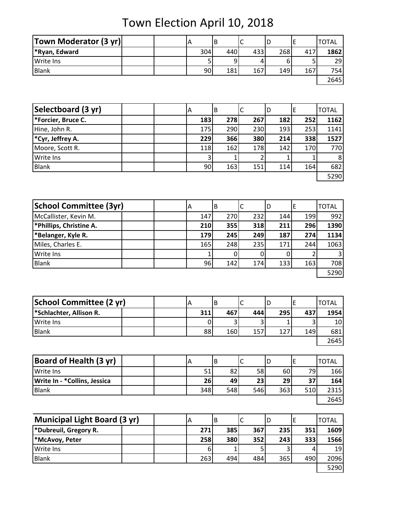Town Election April 10, 2018

| <b>Town Moderator (3 yr)</b> | ١A  | ΙB  | ╰   |     |     | <b>TOTAL</b> |
|------------------------------|-----|-----|-----|-----|-----|--------------|
| *Ryan, Edward                | 304 | 440 | 433 | 268 | 417 | 1862         |
| <b>Write Ins</b>             |     |     |     |     |     | 29           |
| <b>Blank</b>                 | 90  | 181 | 167 | 149 | 167 | 754          |
|                              |     |     |     |     |     | 2645         |

| Selectboard (3 yr) | A |                | B   | IC  | ۱D  | ΙE  | <b>TOTAL</b> |
|--------------------|---|----------------|-----|-----|-----|-----|--------------|
| *Forcier, Bruce C. |   | 183            | 278 | 267 | 182 | 252 | 1162         |
| Hine, John R.      |   | <b>175</b>     | 290 | 230 | 193 | 253 | 1141         |
| *Cyr, Jeffrey A.   |   | 229            | 366 | 380 | 214 | 338 | 1527         |
| Moore, Scott R.    |   | 118            | 162 | 178 | 142 | 170 | 770          |
| <b>Write Ins</b>   |   | 3 <sub>1</sub> |     |     |     |     | 8            |
| <b>Blank</b>       |   | 90             | 163 | 151 | 114 | 164 | 682          |
|                    |   |                |     |     |     |     | 5290         |

| <b>School Committee (3yr)</b> | IΑ  | ΙB  |     | ID  |     | <b>TOTAL</b>   |
|-------------------------------|-----|-----|-----|-----|-----|----------------|
| McCallister, Kevin M.         | 147 | 270 | 232 | 144 | 199 | 992            |
| *Phillips, Christine A.       | 210 | 355 | 318 | 211 | 296 | 1390           |
| <b>*Belanger, Kyle R.</b>     | 179 | 245 | 249 | 187 | 274 | 1134           |
| Miles, Charles E.             | 165 | 248 | 235 | 171 | 244 | 1063           |
| Write Ins                     |     |     |     |     |     | $\overline{3}$ |
| <b>Blank</b>                  | 96  | 142 | 174 | 133 | 163 | 708            |
|                               |     |     |     |     |     | 5290           |

| School Committee (2 yr)             |     | B   |     | IC  |     | <b>TOTAL</b> |
|-------------------------------------|-----|-----|-----|-----|-----|--------------|
| <sup>*</sup> Schlachter, Allison R. | 311 | 467 | 444 | 295 | 437 | 1954         |
| Write Ins                           |     |     |     |     |     | 10I          |
| Blank                               | 88  | 160 | 157 | 127 | 149 | 681          |
|                                     |     |     |     |     |     | 2645         |

| <b>Board of Health (3 yr)</b> |  |     |     |     | υ   |     | TOTAL |
|-------------------------------|--|-----|-----|-----|-----|-----|-------|
| <b>Write Ins</b>              |  | 51  | 82  | 58  | 60  | 791 | 166   |
| Write In - * Collins, Jessica |  | 26  | 491 | 23  | 29  | 27  | 164   |
| <b>Blank</b>                  |  | 348 | 548 | 546 | 363 | 510 | 2315  |
|                               |  |     |     |     |     |     | 2645  |

| <b>Municipal Light Board (3 yr)</b> | ΙA  | В   | . ب | ID  |     | <b>TOTAL</b>    |
|-------------------------------------|-----|-----|-----|-----|-----|-----------------|
| <b>No Findmin Breeding R.</b>       | 271 | 385 | 367 | 235 | 351 | 1609            |
| *McAvoy, Peter                      | 258 | 380 | 352 | 243 | 333 | 1566            |
| <b>Write Ins</b>                    | 6   |     |     |     |     | 19 <sup>1</sup> |
| Blank                               | 263 | 494 | 484 | 365 | 490 | 2096            |
|                                     |     |     |     |     |     | 5290            |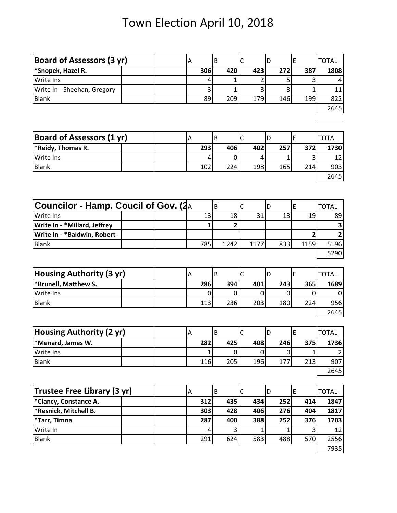# Town Election April 10, 2018

| <b>Board of Assessors (3 yr)</b>     |  | Α            | B |                | $\mathsf C$  | D |     | E |              | <b>TOTAL</b>   |
|--------------------------------------|--|--------------|---|----------------|--------------|---|-----|---|--------------|----------------|
| *Snopek, Hazel R.                    |  | 306          |   | 420            | 423          |   | 272 |   | 387          | 1808           |
| Write Ins                            |  | 4            |   | 1              | 2            |   | 5   |   | 3            |                |
| Write In - Sheehan, Gregory          |  | 3            |   | 1              | 3            |   | 3   |   | 1            | 11             |
| <b>Blank</b>                         |  | 89           |   | 209            | 179          |   | 146 |   | 199          | 822            |
|                                      |  |              |   |                |              |   |     |   |              | 2645           |
|                                      |  |              |   |                |              |   |     |   |              |                |
|                                      |  |              |   |                |              |   |     |   |              |                |
| <b>Board of Assessors (1 yr)</b>     |  | Α            | B |                | C            | D |     | E |              | <b>TOTAL</b>   |
| *Reidy, Thomas R.                    |  | 293          |   | 406            | 402          |   | 257 |   | 372          | 1730           |
| Write Ins                            |  | 4            |   | 0              | 4            |   | 1   |   | 3            | 12             |
| <b>Blank</b>                         |  | 102          |   | 224            | 198          |   | 165 |   | 214          | 903            |
|                                      |  |              |   |                |              |   |     |   |              | 2645           |
|                                      |  |              |   |                |              |   |     |   |              |                |
|                                      |  |              |   |                |              |   |     |   |              |                |
| Councilor - Hamp. Coucil of Gov. (2A |  |              | B |                | $\mathsf C$  | D |     | E |              | <b>TOTAL</b>   |
| Write Ins                            |  | 13           |   | 18             | 31           |   | 13  |   | 19           | 89             |
| Write In - *Millard, Jeffrey         |  | 1            |   | $\overline{2}$ |              |   |     |   |              | 3              |
| Write In - *Baldwin, Robert          |  |              |   |                |              |   |     |   | 2            | $\mathbf{2}$   |
| <b>Blank</b>                         |  | 785          |   | 1242           | 1177         |   | 833 |   | 1159         | 5196           |
|                                      |  |              |   |                |              |   |     |   |              | 5290           |
|                                      |  |              |   |                |              |   |     |   |              |                |
| Housing Authority (3 yr)             |  | Α            | B |                | C            | D |     | E |              | <b>TOTAL</b>   |
| *Brunell, Matthew S.                 |  | 286          |   | 394            | 401          |   | 243 |   | 365          | 1689           |
| Write Ins                            |  | 0            |   | 0              | 0            |   | 0   |   | 0            | 0              |
| <b>Blank</b>                         |  | 113          |   | 236            | 203          |   | 180 |   | 224          | 956            |
|                                      |  |              |   |                |              |   |     |   |              | 2645           |
|                                      |  |              |   |                |              |   |     |   |              |                |
| <b>Housing Authority (2 yr)</b>      |  | Α            | B |                | $\mathsf C$  | D |     | E |              | <b>TOTAL</b>   |
| *Menard, James W.                    |  | 282          |   | 425            | 408          |   | 246 |   | 375          | 1736           |
| Write Ins                            |  | $\mathbf{1}$ |   | 0              | 0            |   | 0   |   | $\mathbf{1}$ | $\overline{2}$ |
| <b>Blank</b>                         |  | 116          |   | 205            | 196          |   | 177 |   | 213          | 907            |
|                                      |  |              |   |                |              |   |     |   |              | 2645           |
|                                      |  |              |   |                |              |   |     |   |              |                |
| Trustee Free Library (3 yr)          |  | A            | B |                | $\mathsf{C}$ | D |     | E |              | <b>TOTAL</b>   |
| *Clancy, Constance A.                |  | 312          |   | 435            | 434          |   | 252 |   | 414          | 1847           |
| *Resnick, Mitchell B.                |  | 303          |   | 428            | 406          |   | 276 |   | 404          | 1817           |
| *Tarr, Timna                         |  | 287          |   | 400            | 388          |   | 252 |   | 376          | 1703           |
| Write In                             |  | 4            |   | 3              | 1            |   | 1   |   | 3            | 12             |
| <b>Blank</b>                         |  | 291          |   | 624            | 583          |   | 488 |   | 570          | 2556           |
|                                      |  |              |   |                |              |   |     |   |              | 7935           |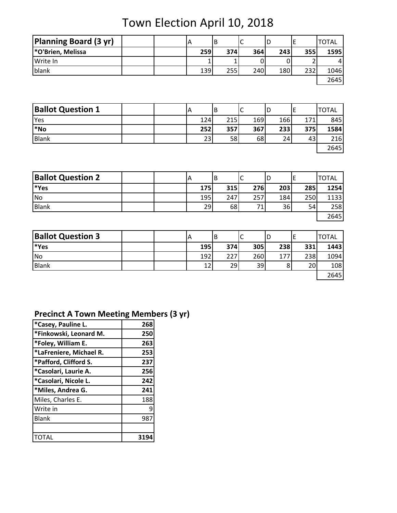Town Election April 10, 2018

| <b>Planning Board (3 yr)</b> | A |     |     |     | IL  |     | TOTAL |
|------------------------------|---|-----|-----|-----|-----|-----|-------|
| *O'Brien, Melissa            |   | 259 | 374 | 364 | 243 | 355 | 1595  |
| Write In                     |   |     |     |     |     |     |       |
| blank                        |   | 139 | 255 | 240 | 180 | 232 | 1046  |
|                              |   |     |     |     |     |     | 2645  |

| <b>Ballot Question 1</b> |  | ΙA  | В   | ֊   | D   |     | <b>TOTAL</b> |
|--------------------------|--|-----|-----|-----|-----|-----|--------------|
| Yes                      |  | 124 | 215 | 169 | 166 | 171 | 845          |
| *No                      |  | 252 | 357 | 367 | 233 | 375 | 1584         |
| <b>Blank</b>             |  | 23  | 58  | 68  | 24  | 43  | 216          |
|                          |  |     |     |     |     |     | 2645         |

| <b>Ballot Question 2</b> |  | A   | В   | ∽<br>◡         | ΙC  |     | <b>TOTAL</b> |
|--------------------------|--|-----|-----|----------------|-----|-----|--------------|
| *Yes                     |  | 175 | 315 | 276            | 203 | 285 | 1254         |
| <b>No</b>                |  | 195 | 247 | 257            | 184 | 250 | 1133         |
| <b>Blank</b>             |  | 29  | 68  | 7 <sub>1</sub> | 36  | 54  | 258          |
|                          |  |     |     |                |     |     | 2645         |

| <b>Ballot Question 3</b> |  | A               | В   | ◡   | ΙL  |     | <b>TOTAL</b> |
|--------------------------|--|-----------------|-----|-----|-----|-----|--------------|
| *Yes                     |  | <b>195</b>      | 374 | 305 | 238 | 331 | 1443         |
| <b>No</b>                |  | 192             | 227 | 260 | 177 | 238 | 1094         |
| <b>Blank</b>             |  | 12 <sub>1</sub> | 29  | 39  |     | 20  | 108          |
|                          |  |                 |     |     |     |     | 2645         |

### **Precinct A Town Meeting Members (3 yr)**

| *Casey, Pauline L.      | 268 |
|-------------------------|-----|
| *Finkowski, Leonard M.  | 250 |
| *Foley, William E.      | 263 |
| *LaFreniere, Michael R. | 253 |
| *Pafford, Clifford S.   | 237 |
| *Casolari, Laurie A.    | 256 |
| *Casolari, Nicole L.    | 242 |
| *Miles, Andrea G.       | 241 |
| Miles, Charles E.       | 188 |
| Write in                | 9   |
| <b>Blank</b>            | 987 |
|                         |     |
|                         |     |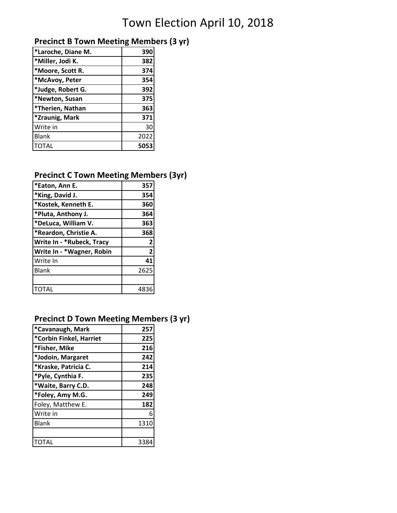## Town Election April 10, 2018

#### **Precinct B Town Meeting Members (3 yr)**

| 390  |
|------|
| 382  |
| 374  |
| 354  |
| 392  |
| 375  |
| 363  |
| 371  |
| 30   |
| 2022 |
| 5053 |
|      |

#### **Precinct C Town Meeting Members (3yr)**

| 357            |
|----------------|
| 354            |
| 360            |
| 364            |
| 363            |
| 368            |
| 2              |
| $\overline{2}$ |
| 41             |
| 2625           |
|                |
|                |
|                |

#### **Precinct D Town Meeting Members (3 yr)**

| *Cavanaugh, Mark        | 257  |
|-------------------------|------|
| *Corbin Finkel, Harriet | 225  |
| *Fisher, Mike           | 216  |
| *Jodoin, Margaret       | 242  |
| *Kraske, Patricia C.    | 214  |
| *Pyle, Cynthia F.       | 235  |
| *Waite, Barry C.D.      | 248  |
| *Foley, Amy M.G.        | 249  |
| Foley, Matthew E.       | 182  |
| Write in                | 6    |
| <b>Blank</b>            | 1310 |
|                         |      |
|                         | 331  |